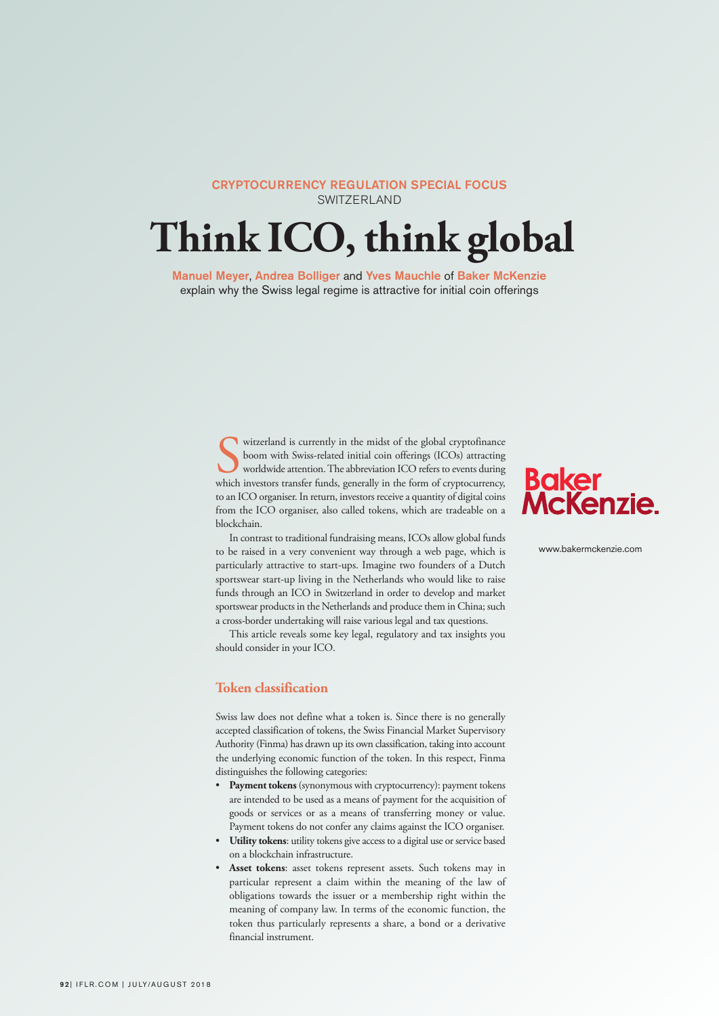# CRYPTOCURRENCY REGULATION SPECIAL FOCUS SWITZERLAND

# **Think ICO, think global**

Manuel Meyer, Andrea Bolliger and Yves Mauchle of Baker McKenzie explain why the Swiss legal regime is attractive for initial coin offerings

> witzerland is currently in the midst of the global cryptofinance<br>boom with Swiss-related initial coin offerings (ICOs) attracting<br>worldwide attention. The abbreviation ICO refers to events during<br>which investors transfer f witzerland is currently in the midst of the global cryptofinance boom with Swiss-related initial coin offerings (ICOs) attracting worldwide attention.The abbreviation ICO refers to events during to an ICO organiser. In return, investors receive a quantity of digital coins from the ICO organiser, also called tokens, which are tradeable on a blockchain.

> In contrast to traditional fundraising means, ICOs allow global funds to be raised in a very convenient way through a web page, which is particularly attractive to start-ups. Imagine two founders of a Dutch sportswear start-up living in the Netherlands who would like to raise funds through an ICO in Switzerland in order to develop and market sportswear products in the Netherlands and produce them in China; such a cross-border undertaking will raise various legal and tax questions.

> This article reveals some key legal, regulatory and tax insights you should consider in your ICO.

# **Token classification**

Swiss law does not define what a token is. Since there is no generally accepted classification of tokens, the Swiss Financial Market Supervisory Authority (Finma) has drawn up its own classification, taking into account the underlying economic function of the token. In this respect, Finma distinguishes the following categories:

- **Payment tokens**(synonymous with cryptocurrency): payment tokens are intended to be used as a means of payment for the acquisition of goods or services or as a means of transferring money or value. Payment tokens do not confer any claims against the ICO organiser.
- **Utility tokens**: utility tokens give access to a digital use or service based on a blockchain infrastructure.
- **Asset tokens**: asset tokens represent assets. Such tokens may in particular represent a claim within the meaning of the law of obligations towards the issuer or a membership right within the meaning of company law. In terms of the economic function, the token thus particularly represents a share, a bond or a derivative financial instrument.



www.bakermckenzie.com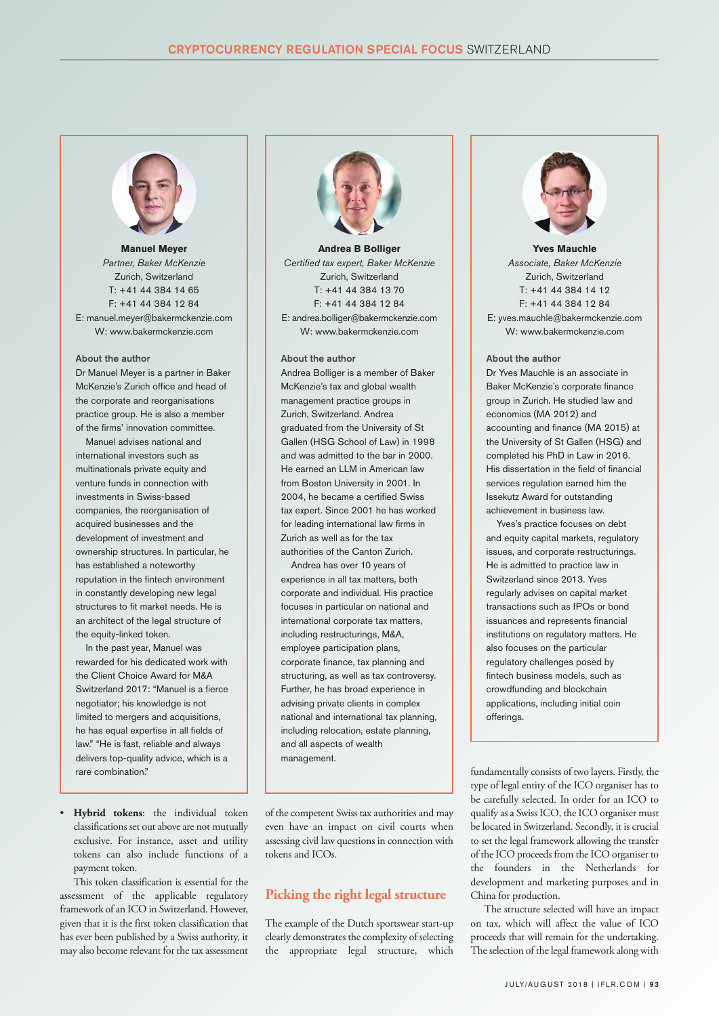

**Manuel Meyer** *Partner, Baker McKenzie* Zurich, Switzerland T: +41 44 384 14 65  $F: +41$  44 384 12 84 E: manuel.meyer@bakermckenzie.com W: www.bakermckenzie.com

#### About the author

Dr Manuel Meyer is a partner in Baker McKenzie's Zurich office and head of the corporate and reorganisations practice group. He is also a member of the firms' innovation committee.

Manuel advises national and international investors such as multinationals private equity and venture funds in connection with investments in Swiss-based companies, the reorganisation of acquired businesses and the development of investment and ownership structures. In particular, he has established a noteworthy reputation in the fintech environment in constantly developing new legal structures to fit market needs. He is an architect of the legal structure of the equity-linked token.

In the past year, Manuel was rewarded for his dedicated work with the Client Choice Award for M&A Switzerland 2017: "Manuel is a fierce negotiator; his knowledge is not limited to mergers and acquisitions, he has equal expertise in all fields of law." "He is fast, reliable and always delivers top-quality advice, which is a rare combination."

• **Hybrid tokens**: the individual token classifications set out above are not mutually exclusive. For instance, asset and utility tokens can also include functions of a payment token.

This token classification is essential for the assessment of the applicable regulatory framework of an ICO in Switzerland. However, given that it is the first token classification that has ever been published by a Swiss authority, it may also become relevant for the tax assessment



**Andrea B Bolliger** *Certified tax expert, Baker McKenzie* Zurich, Switzerland T: +41 44 384 13 70 F: +41 44 384 12 84 E: andrea.bolliger@bakermckenzie.com W: www.bakermckenzie.com

#### About the author

Andrea Bolliger is a member of Baker McKenzie's tax and global wealth management practice groups in Zurich, Switzerland. Andrea graduated from the University of St Gallen (HSG School of Law) in 1998 and was admitted to the bar in 2000. He earned an LLM in American law from Boston University in 2001. In 2004, he became a certified Swiss tax expert. Since 2001 he has worked for leading international law firms in Zurich as well as for the tax authorities of the Canton Zurich.

Andrea has over 10 years of experience in all tax matters, both corporate and individual. His practice focuses in particular on national and international corporate tax matters, including restructurings, M&A, employee participation plans, corporate finance, tax planning and structuring, as well as tax controversy. Further, he has broad experience in advising private clients in complex national and international tax planning, including relocation, estate planning, and all aspects of wealth management.

of the competent Swiss tax authorities and may even have an impact on civil courts when assessing civil law questions in connection with tokens and ICOs.

# **Picking the right legal structure**

The example of the Dutch sportswear start-up clearly demonstrates the complexity of selecting the appropriate legal structure, which



**Yves Mauchle** *Associate, Baker McKenzie* Zurich, Switzerland T: +41 44 384 14 12 F: +41 44 384 12 84 E: yves.mauchle@bakermckenzie.com W: www.bakermckenzie.com

### About the author

Dr Yves Mauchle is an associate in Baker McKenzie's corporate finance group in Zurich. He studied law and economics (MA 2012) and accounting and finance (MA 2015) at the University of St Gallen (HSG) and completed his PhD in Law in 2016. His dissertation in the field of financial services regulation earned him the Issekutz Award for outstanding achievement in business law.

Yves's practice focuses on debt and equity capital markets, regulatory issues, and corporate restructurings. He is admitted to practice law in Switzerland since 2013. Yves regularly advises on capital market transactions such as IPOs or bond issuances and represents financial institutions on regulatory matters. He also focuses on the particular regulatory challenges posed by fintech business models, such as crowdfunding and blockchain applications, including initial coin offerings.

fundamentally consists of two layers. Firstly, the type of legal entity of the ICO organiser has to be carefully selected. In order for an ICO to qualify as a Swiss ICO, the ICO organiser must belocated in Switzerland. Secondly, it is crucial to set the legal framework allowing the transfer of the ICO proceeds from the ICO organiser to the founders in the Netherlands for development and marketing purposes and in China for production.

The structure selected will have an impact on tax, which will affect the value of ICO proceeds that will remain for the undertaking. The selection of the legal framework along with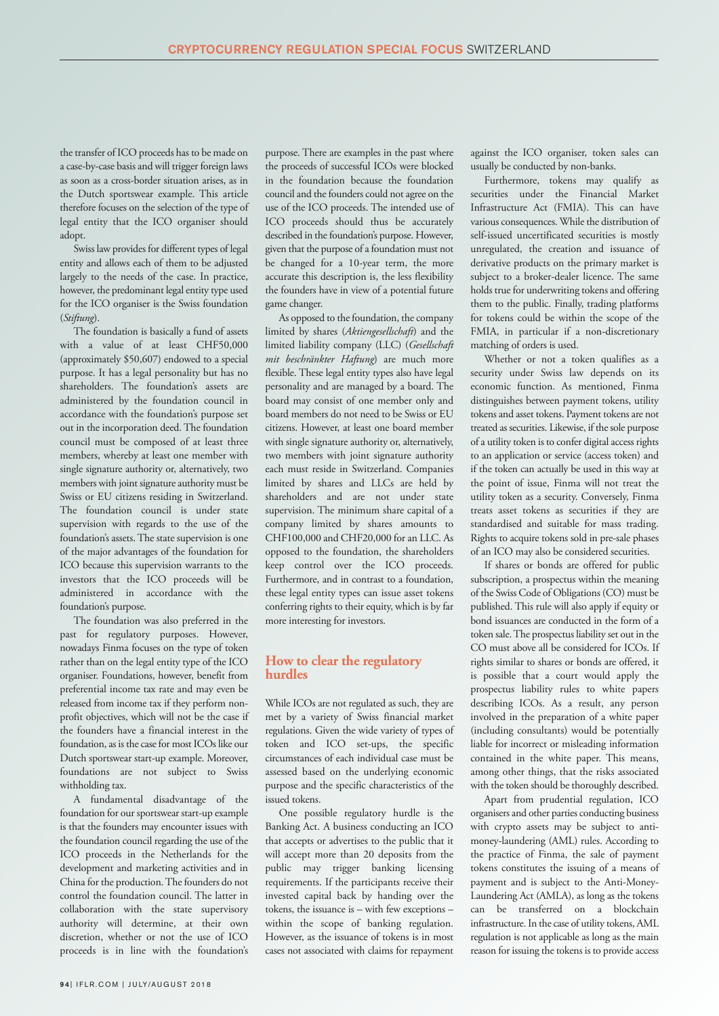the transfer of ICO proceeds has to be made on a case-by-case basis and will trigger foreign laws as soon as a cross-border situation arises, as in the Dutch sportswear example. This article therefore focuses on the selection of the type of legal entity that the ICO organiser should adopt.

Swiss law provides for different types of legal entity and allows each of them to be adjusted largely to the needs of the case. In practice, however, the predominant legal entity type used for the ICO organiser is the Swiss foundation (*Stiftung*).

The foundation is basically a fund of assets with a value of at least CHF50,000 (approximately \$50,607) endowed to a special purpose. It has a legal personality but has no shareholders. The foundation's assets are administered by the foundation council in accordance with the foundation's purpose set out in the incorporation deed. The foundation council must be composed of at least three members, whereby at least one member with single signature authority or, alternatively, two members with joint signature authority must be Swiss or EU citizens residing in Switzerland. The foundation council is under state supervision with regards to the use of the foundation's assets.The state supervision is one of the major advantages of the foundation for ICO because this supervision warrants to the investors that the ICO proceeds will be administered in accordance with the foundation's purpose.

The foundation was also preferred in the past for regulatory purposes. However, nowadays Finma focuses on the type of token rather than on the legal entity type of the ICO organiser. Foundations, however, benefit from preferential income tax rate and may even be released from income tax if they perform nonprofit objectives, which will not be the case if the founders have a financial interest in the foundation, as is the case for most ICOs like our Dutch sportswear start-up example. Moreover, foundations are not subject to Swiss withholding tax.

A fundamental disadvantage of the foundation for our sportswear start-up example is that the founders may encounter issues with the foundation council regarding the use of the ICO proceeds in the Netherlands for the development and marketing activities and in China for the production. The founders do not control the foundation council. The latter in collaboration with the state supervisory authority will determine, at their own discretion, whether or not the use of ICO proceeds is in line with the foundation's

purpose. There are examples in the past where the proceeds of successful ICOs were blocked in the foundation because the foundation council and the founders could not agree on the use of the ICO proceeds. The intended use of ICO proceeds should thus be accurately described in the foundation's purpose. However, given that the purpose of a foundation must not be changed for a 10-year term, the more accurate this description is, the less flexibility the founders have in view of a potential future game changer.

As opposed to the foundation, the company limited by shares (*Aktiengesellschaft*) and the limited liability company (LLC) (*Gesellschaft mit beschränkter Haftung*) are much more flexible. These legal entity types also have legal personality and are managed by a board. The board may consist of one member only and board members do not need to be Swiss or EU citizens. However, at least one board member with single signature authority or, alternatively, two members with joint signature authority each must reside in Switzerland. Companies limited by shares and LLCs are held by shareholders and are not under state supervision. The minimum share capital of a company limited by shares amounts to CHF100,000 and CHF20,000 for an LLC. As opposed to the foundation, the shareholders keep control over the ICO proceeds. Furthermore, and in contrast to a foundation, these legal entity types can issue asset tokens conferring rights to their equity, which is by far more interesting for investors.

# **How to clear the regulatory hurdles**

While ICOs are not regulated as such, they are met by a variety of Swiss financial market regulations. Given the wide variety of types of token and ICO set-ups, the specific circumstances of each individual case must be assessed based on the underlying economic purpose and the specific characteristics of the issued tokens.

One possible regulatory hurdle is the Banking Act. A business conducting an ICO that accepts or advertises to the public that it will accept more than 20 deposits from the public may trigger banking licensing requirements. If the participants receive their invested capital back by handing over the tokens, the issuance is – with few exceptions – within the scope of banking regulation. However, as the issuance of tokens is in most cases not associated with claims for repayment

against the ICO organiser, token sales can usually be conducted by non-banks.

Furthermore, tokens may qualify as securities under the Financial Market Infrastructure Act (FMIA). This can have various consequences. While the distribution of self-issued uncertificated securities is mostly unregulated, the creation and issuance of derivative products on the primary market is subject to a broker-dealer licence. The same holds true for underwriting tokens and offering them to the public. Finally, trading platforms for tokens could be within the scope of the FMIA, in particular if a non-discretionary matching of orders is used.

Whether or not a token qualifies as a security under Swiss law depends on its economic function. As mentioned, Finma distinguishes between payment tokens, utility tokens and asset tokens. Payment tokens are not treated as securities. Likewise, if the sole purpose of a utility token is to confer digital access rights to an application or service (access token) and if the token can actually be used in this way at the point of issue, Finma will not treat the utility token as a security. Conversely, Finma treats asset tokens as securities if they are standardised and suitable for mass trading. Rights to acquire tokens sold in pre-sale phases of an ICO may also be considered securities.

If shares or bonds are offered for public subscription, a prospectus within the meaning of the Swiss Code of Obligations (CO) must be published. This rule will also apply if equity or bond issuances are conducted in the form of a token sale.The prospectus liability set out in the CO must above all be considered for ICOs. If rights similar to shares or bonds are offered, it is possible that a court would apply the prospectus liability rules to white papers describing ICOs. As a result, any person involved in the preparation of a white paper (including consultants) would be potentially liable for incorrect or misleading information contained in the white paper. This means, among other things, that the risks associated with the token should be thoroughly described.

Apart from prudential regulation, ICO organisers and other parties conducting business with crypto assets may be subject to antimoney-laundering (AML) rules. According to the practice of Finma, the sale of payment tokens constitutes the issuing of a means of payment and is subject to the Anti-Money-Laundering Act (AMLA), as long as the tokens can be transferred on a blockchain infrastructure. In the case of utility tokens, AML regulation is not applicable as long as the main reason for issuing the tokens is to provide access